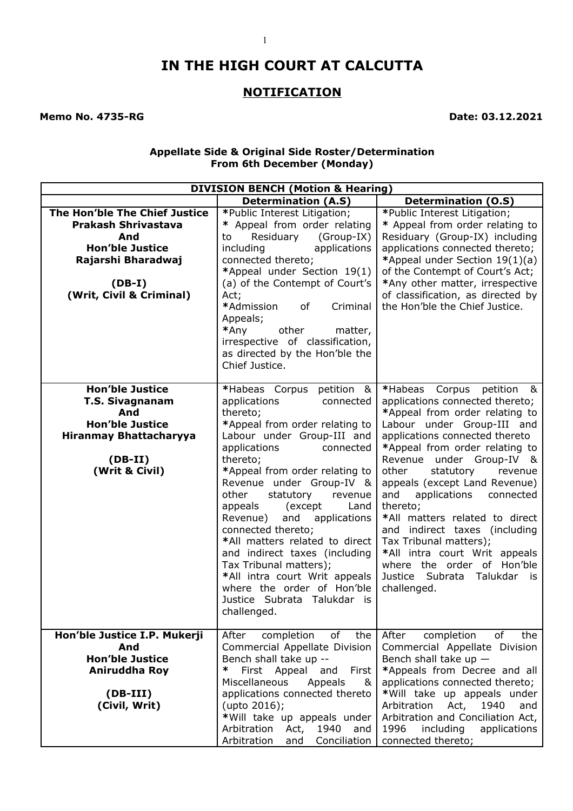# **IN THE HIGH COURT AT CALCUTTA**

## **NOTIFICATION**

**Memo No. 4735-RG** Date: 03.12.2021

#### **Appellate Side & Original Side Roster/Determination From 6th December (Monday)**

| <b>DIVISION BENCH (Motion &amp; Hearing)</b>                                                                                                               |                                                                                                                                                                                                                                                                                                                                                                                                                                                                                                                                                                              |                                                                                                                                                                                                                                                                                                                                                                                                                                                                                                                                                                             |
|------------------------------------------------------------------------------------------------------------------------------------------------------------|------------------------------------------------------------------------------------------------------------------------------------------------------------------------------------------------------------------------------------------------------------------------------------------------------------------------------------------------------------------------------------------------------------------------------------------------------------------------------------------------------------------------------------------------------------------------------|-----------------------------------------------------------------------------------------------------------------------------------------------------------------------------------------------------------------------------------------------------------------------------------------------------------------------------------------------------------------------------------------------------------------------------------------------------------------------------------------------------------------------------------------------------------------------------|
|                                                                                                                                                            | <b>Determination (A.S)</b>                                                                                                                                                                                                                                                                                                                                                                                                                                                                                                                                                   | <b>Determination (O.S)</b>                                                                                                                                                                                                                                                                                                                                                                                                                                                                                                                                                  |
| The Hon'ble The Chief Justice<br><b>Prakash Shrivastava</b><br>And<br><b>Hon'ble Justice</b><br>Rajarshi Bharadwaj<br>$(DB-I)$<br>(Writ, Civil & Criminal) | *Public Interest Litigation;<br>* Appeal from order relating<br>Residuary<br>(Group-IX)<br>to<br>applications<br>including<br>connected thereto;<br>*Appeal under Section 19(1)<br>(a) of the Contempt of Court's<br>Act;<br>*Admission<br>of<br>Criminal<br>Appeals;<br>*Any<br>other<br>matter,<br>irrespective of classification,<br>as directed by the Hon'ble the<br>Chief Justice.                                                                                                                                                                                     | *Public Interest Litigation;<br>* Appeal from order relating to<br>Residuary (Group-IX) including<br>applications connected thereto;<br>*Appeal under Section 19(1)(a)<br>of the Contempt of Court's Act;<br>*Any other matter, irrespective<br>of classification, as directed by<br>the Hon'ble the Chief Justice.                                                                                                                                                                                                                                                         |
| <b>Hon'ble Justice</b><br><b>T.S. Sivagnanam</b><br>And<br><b>Hon'ble Justice</b><br><b>Hiranmay Bhattacharyya</b><br>$(DB-II)$<br>(Writ & Civil)          | *Habeas Corpus petition &<br>applications<br>connected<br>thereto;<br>*Appeal from order relating to<br>Labour under Group-III and<br>applications<br>connected<br>thereto;<br>*Appeal from order relating to<br>Revenue under Group-IV &<br>other<br>statutory<br>revenue<br>(except)<br>appeals<br>Land<br>applications<br>Revenue)<br>and<br>connected thereto;<br>*All matters related to direct<br>and indirect taxes (including<br>Tax Tribunal matters);<br>*All intra court Writ appeals<br>where the order of Hon'ble<br>Justice Subrata Talukdar is<br>challenged. | *Habeas<br>Corpus<br>petition<br>&<br>applications connected thereto;<br>*Appeal from order relating to<br>Labour under Group-III and<br>applications connected thereto<br>*Appeal from order relating to<br>Revenue<br>under Group-IV &<br>other<br>statutory<br>revenue<br>appeals (except Land Revenue)<br>applications<br>and<br>connected<br>thereto;<br>*All matters related to direct<br>indirect taxes (including<br>and<br>Tax Tribunal matters);<br>*All intra court Writ appeals<br>where the order of Hon'ble<br>Justice Subrata Talukdar<br>is.<br>challenged. |
| Hon'ble Justice I.P. Mukerji<br>And<br><b>Hon'ble Justice</b><br>Aniruddha Roy<br>$(DB-III)$<br>(Civil, Writ)                                              | of<br>After<br>completion<br>the<br>Commercial Appellate Division<br>Bench shall take up --<br>∗<br>First Appeal<br>and<br>First<br>Miscellaneous<br>Appeals<br>&<br>applications connected thereto<br>(upto 2016);<br>*Will take up appeals under<br>Arbitration<br>Act,<br>1940<br>and<br>Conciliation<br>Arbitration<br>and                                                                                                                                                                                                                                               | of<br>After<br>completion<br>the<br>Commercial Appellate Division<br>Bench shall take up $-$<br>*Appeals from Decree and all<br>applications connected thereto;<br>*Will take up appeals under<br>Arbitration<br>Act,<br>1940<br>and<br>Arbitration and Conciliation Act,<br>1996<br>including<br>applications<br>connected thereto;                                                                                                                                                                                                                                        |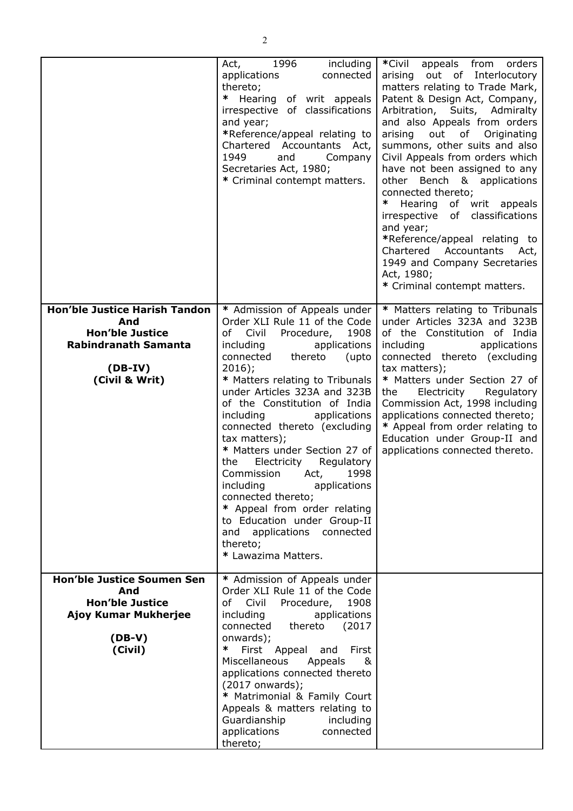|                                                                                                                              | Act, 1996<br>including<br>applications<br>connected<br>thereto;<br>* Hearing of writ appeals<br>irrespective of classifications<br>and year;<br>*Reference/appeal relating to<br>Chartered Accountants Act,<br>1949<br>and<br>Company<br>Secretaries Act, 1980;<br>* Criminal contempt matters.                                                                                                                                                                                                                                                                                                                                                  | *Civil<br>appeals from orders<br>arising out of Interlocutory<br>matters relating to Trade Mark,<br>Patent & Design Act, Company,<br>Arbitration, Suits, Admiralty<br>and also Appeals from orders<br>arising out of Originating<br>summons, other suits and also<br>Civil Appeals from orders which<br>have not been assigned to any<br>other Bench & applications<br>connected thereto;<br>∗<br>Hearing of writ appeals<br>irrespective of classifications<br>and year;<br>*Reference/appeal relating to<br>Chartered<br>Accountants Act,<br>1949 and Company Secretaries<br>Act, 1980;<br>* Criminal contempt matters. |
|------------------------------------------------------------------------------------------------------------------------------|--------------------------------------------------------------------------------------------------------------------------------------------------------------------------------------------------------------------------------------------------------------------------------------------------------------------------------------------------------------------------------------------------------------------------------------------------------------------------------------------------------------------------------------------------------------------------------------------------------------------------------------------------|---------------------------------------------------------------------------------------------------------------------------------------------------------------------------------------------------------------------------------------------------------------------------------------------------------------------------------------------------------------------------------------------------------------------------------------------------------------------------------------------------------------------------------------------------------------------------------------------------------------------------|
| Hon'ble Justice Harish Tandon<br>And<br><b>Hon'ble Justice</b><br><b>Rabindranath Samanta</b><br>$(DB-IV)$<br>(Civil & Writ) | * Admission of Appeals under<br>Order XLI Rule 11 of the Code<br>1908<br>of Civil<br>Procedure,<br>applications<br>including<br>connected<br>thereto<br>(upto<br>$2016$ ;<br>* Matters relating to Tribunals<br>under Articles 323A and 323B<br>of the Constitution of India<br>applications<br>including<br>connected thereto (excluding<br>tax matters);<br>* Matters under Section 27 of<br>the<br>Electricity<br>Regulatory<br>Commission<br>Act,<br>1998<br>including applications<br>connected thereto;<br>* Appeal from order relating<br>to Education under Group-II<br>applications connected<br>and<br>thereto;<br>* Lawazima Matters. | * Matters relating to Tribunals<br>under Articles 323A and 323B<br>of the Constitution of India<br>including<br>applications<br>connected thereto (excluding<br>tax matters);<br>* Matters under Section 27 of<br>the<br>Electricity<br>Regulatory<br>Commission Act, 1998 including<br>applications connected thereto;<br>* Appeal from order relating to<br>Education under Group-II and<br>applications connected thereto.                                                                                                                                                                                             |
| <b>Hon'ble Justice Soumen Sen</b><br>And<br><b>Hon'ble Justice</b><br>Ajoy Kumar Mukherjee<br>$(DB-V)$<br>(Civil)            | * Admission of Appeals under<br>Order XLI Rule 11 of the Code<br>οf<br>Civil<br>Procedure,<br>1908<br>including<br>applications<br>connected<br>thereto<br>(2017)<br>onwards);<br>∗<br>First Appeal<br>First<br>and<br>Miscellaneous<br>Appeals<br>&<br>applications connected thereto<br>(2017 onwards);<br>* Matrimonial & Family Court<br>Appeals & matters relating to<br>Guardianship<br>including<br>applications<br>connected<br>thereto;                                                                                                                                                                                                 |                                                                                                                                                                                                                                                                                                                                                                                                                                                                                                                                                                                                                           |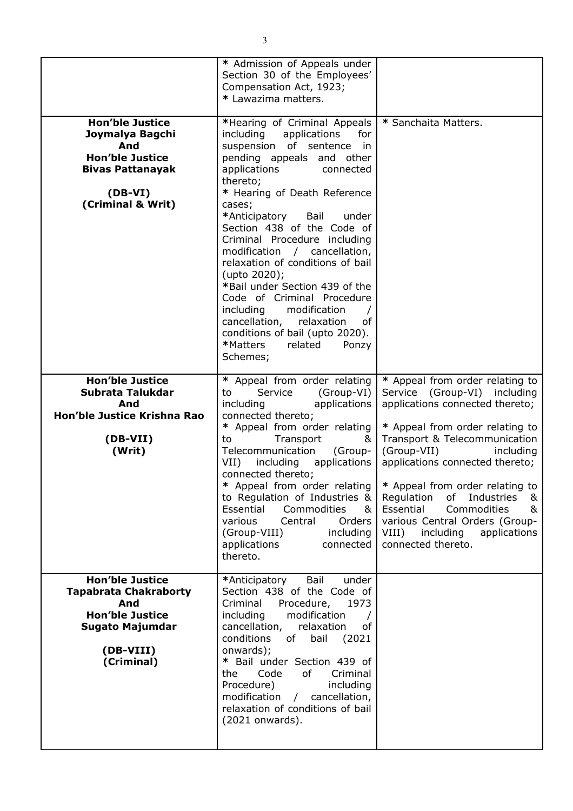|                                                                                                                                              | * Admission of Appeals under<br>Section 30 of the Employees'<br>Compensation Act, 1923;<br>* Lawazima matters.                                                                                                                                                                                                                                                                                                                                                                                                                                                                                                        |                                                                                                                                                                                                                                                                                                                                                                                                                                                |
|----------------------------------------------------------------------------------------------------------------------------------------------|-----------------------------------------------------------------------------------------------------------------------------------------------------------------------------------------------------------------------------------------------------------------------------------------------------------------------------------------------------------------------------------------------------------------------------------------------------------------------------------------------------------------------------------------------------------------------------------------------------------------------|------------------------------------------------------------------------------------------------------------------------------------------------------------------------------------------------------------------------------------------------------------------------------------------------------------------------------------------------------------------------------------------------------------------------------------------------|
| <b>Hon'ble Justice</b><br>Joymalya Bagchi<br>And<br><b>Hon'ble Justice</b><br><b>Bivas Pattanayak</b><br>$(DB-VI)$<br>(Criminal & Writ)      | *Hearing of Criminal Appeals<br>including<br>applications<br>for<br>suspension of sentence<br>in<br>pending appeals and other<br>applications<br>connected<br>thereto;<br>* Hearing of Death Reference<br>cases;<br>*Anticipatory<br>Bail<br>under<br>Section 438 of the Code of<br>Criminal Procedure including<br>modification / cancellation,<br>relaxation of conditions of bail<br>(upto 2020);<br>*Bail under Section 439 of the<br>Code of Criminal Procedure<br>including<br>modification<br>cancellation,<br>relaxation<br>of<br>conditions of bail (upto 2020).<br>*Matters<br>related<br>Ponzy<br>Schemes; | * Sanchaita Matters.                                                                                                                                                                                                                                                                                                                                                                                                                           |
| <b>Hon'ble Justice</b><br>Subrata Talukdar<br>And<br>Hon'ble Justice Krishna Rao<br>(DB-VII)<br>(Writ)                                       | * Appeal from order relating<br>Service<br>(Group-VI)<br>to<br>including<br>applications<br>connected thereto;<br>* Appeal from order relating<br>Transport<br>to<br>&<br>Telecommunication<br>(Group-<br>$VII$ )<br>including<br>applications<br>connected thereto;<br>* Appeal from order relating<br>to Regulation of Industries &<br>Essential<br>Commodities<br>&<br>various<br>Central<br>Orders<br>(Group-VIII)<br>including<br>applications<br>connected<br>thereto.                                                                                                                                          | * Appeal from order relating to<br>Service (Group-VI) including<br>applications connected thereto;<br>* Appeal from order relating to<br>Transport & Telecommunication<br>(Group-VII)<br>including<br>applications connected thereto;<br>* Appeal from order relating to<br>Regulation<br>of<br>Industries<br>&<br>Essential<br>Commodities<br>&<br>various Central Orders (Group-<br>VIII)<br>including<br>applications<br>connected thereto. |
| <b>Hon'ble Justice</b><br><b>Tapabrata Chakraborty</b><br>And<br><b>Hon'ble Justice</b><br><b>Sugato Majumdar</b><br>(DB-VIII)<br>(Criminal) | *Anticipatory<br>Bail<br>under<br>Section 438 of the Code of<br>Criminal<br>Procedure,<br>1973<br>including<br>modification<br>cancellation,<br>relaxation<br>оf<br>conditions<br>(2021)<br>bail<br>of l<br>onwards);<br>* Bail under Section 439 of<br>Code<br>of<br>Criminal<br>the<br>Procedure)<br>including<br>modification / cancellation,<br>relaxation of conditions of bail<br>(2021 onwards).                                                                                                                                                                                                               |                                                                                                                                                                                                                                                                                                                                                                                                                                                |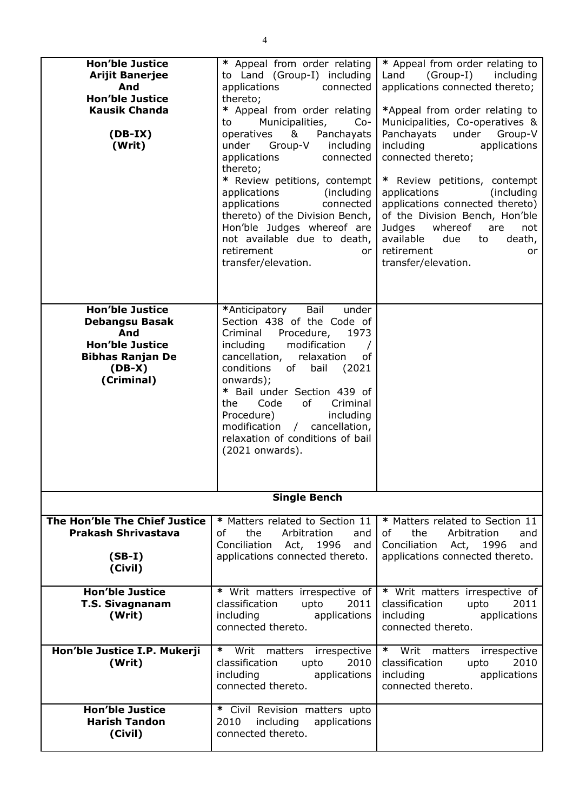| <b>Hon'ble Justice</b><br><b>Arijit Banerjee</b><br>And<br><b>Hon'ble Justice</b><br><b>Kausik Chanda</b><br>$(DB-IX)$<br>(Writ)<br><b>Hon'ble Justice</b> | * Appeal from order relating<br>to Land (Group-I) including<br>applications<br>connected<br>thereto;<br>* Appeal from order relating<br>Municipalities,<br>to<br>$Co-$<br>operatives &<br>Panchayats<br>under Group-V including<br>applications<br>connected<br>thereto;<br>* Review petitions, contempt<br>applications<br>(including)<br>applications<br>connected<br>thereto) of the Division Bench,<br>Hon'ble Judges whereof are<br>not available due to death,<br>retirement<br>or<br>transfer/elevation.<br>Bail<br>*Anticipatory<br>under | * Appeal from order relating to<br>Land<br>(Group-I)<br>including<br>applications connected thereto;<br>*Appeal from order relating to<br>Municipalities, Co-operatives &<br>Panchayats<br>under<br>Group-V<br>including<br>applications<br>connected thereto;<br>* Review petitions, contempt<br>(including)<br>applications<br>applications connected thereto)<br>of the Division Bench, Hon'ble<br>whereof<br>Judges<br>are<br>not<br>available<br>due<br>to<br>death,<br>retirement<br>or<br>transfer/elevation. |
|------------------------------------------------------------------------------------------------------------------------------------------------------------|---------------------------------------------------------------------------------------------------------------------------------------------------------------------------------------------------------------------------------------------------------------------------------------------------------------------------------------------------------------------------------------------------------------------------------------------------------------------------------------------------------------------------------------------------|----------------------------------------------------------------------------------------------------------------------------------------------------------------------------------------------------------------------------------------------------------------------------------------------------------------------------------------------------------------------------------------------------------------------------------------------------------------------------------------------------------------------|
| <b>Debangsu Basak</b><br>And<br><b>Hon'ble Justice</b><br><b>Bibhas Ranjan De</b><br>$(DB-X)$<br>(Criminal)                                                | Section 438 of the Code of<br>Criminal<br>Procedure,<br>1973<br>modification<br>including<br>cancellation,<br>relaxation<br>of<br>conditions<br>bail<br>of<br>(2021)<br>onwards);<br>* Bail under Section 439 of<br>Code<br>of<br>Criminal<br>the.<br>Procedure)<br>including<br>modification / cancellation,<br>relaxation of conditions of bail<br>(2021 onwards).                                                                                                                                                                              |                                                                                                                                                                                                                                                                                                                                                                                                                                                                                                                      |
|                                                                                                                                                            | <b>Single Bench</b>                                                                                                                                                                                                                                                                                                                                                                                                                                                                                                                               |                                                                                                                                                                                                                                                                                                                                                                                                                                                                                                                      |
| The Hon'ble The Chief Justice<br><b>Prakash Shrivastava</b><br>$(SB-I)$<br>(Civil)                                                                         | * Matters related to Section 11<br>of<br>the<br>Arbitration<br>and<br>Conciliation Act, 1996<br>and<br>applications connected thereto.                                                                                                                                                                                                                                                                                                                                                                                                            | * Matters related to Section 11<br>of<br>the<br>Arbitration<br>and<br>Conciliation Act, 1996<br>and<br>applications connected thereto.                                                                                                                                                                                                                                                                                                                                                                               |
| <b>Hon'ble Justice</b><br><b>T.S. Sivagnanam</b><br>(Writ)                                                                                                 | * Writ matters irrespective of<br>classification<br>upto<br>2011<br>applications<br>including<br>connected thereto.                                                                                                                                                                                                                                                                                                                                                                                                                               | * Writ matters irrespective of<br>classification<br>upto<br>2011<br>including<br>applications<br>connected thereto.                                                                                                                                                                                                                                                                                                                                                                                                  |
| Hon'ble Justice I.P. Mukerji<br>(Writ)                                                                                                                     | $\ast$<br>Writ matters irrespective<br>classification<br>2010<br>upto<br>including<br>applications<br>connected thereto.                                                                                                                                                                                                                                                                                                                                                                                                                          | $\ast$<br>Writ matters<br>irrespective<br>classification<br>2010<br>upto<br>applications<br>including<br>connected thereto.                                                                                                                                                                                                                                                                                                                                                                                          |
| <b>Hon'ble Justice</b><br><b>Harish Tandon</b><br>(Civil)                                                                                                  | * Civil Revision matters upto<br>2010<br>including<br>applications<br>connected thereto.                                                                                                                                                                                                                                                                                                                                                                                                                                                          |                                                                                                                                                                                                                                                                                                                                                                                                                                                                                                                      |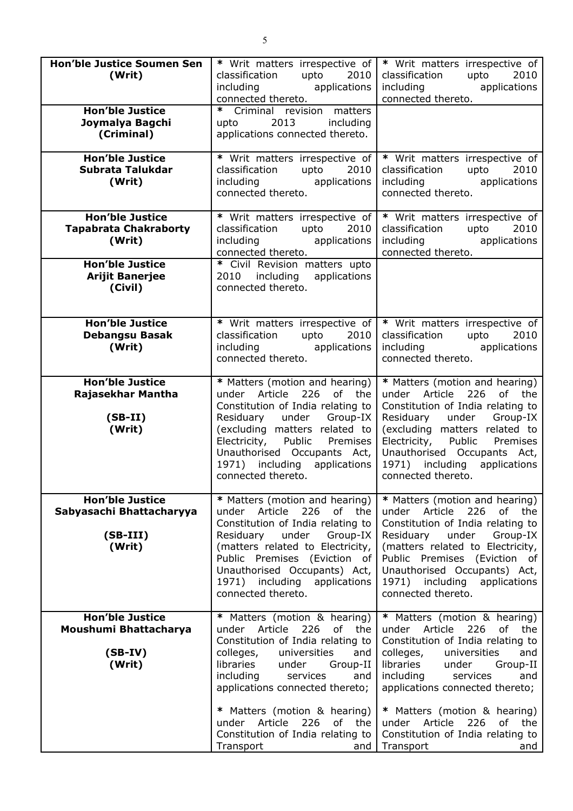| <b>Hon'ble Justice Soumen Sen</b><br>(Writ)                                | * Writ matters irrespective of<br>classification<br>upto<br>2010<br>applications<br>including<br>connected thereto.                                                                                                                                                                            | * Writ matters irrespective of<br>classification<br>upto<br>2010<br>applications<br>including<br>connected thereto.                                                                                                                                                                                  |
|----------------------------------------------------------------------------|------------------------------------------------------------------------------------------------------------------------------------------------------------------------------------------------------------------------------------------------------------------------------------------------|------------------------------------------------------------------------------------------------------------------------------------------------------------------------------------------------------------------------------------------------------------------------------------------------------|
| <b>Hon'ble Justice</b><br>Joymalya Bagchi<br>(Criminal)                    | * Criminal revision matters<br>2013<br>including<br>upto<br>applications connected thereto.                                                                                                                                                                                                    |                                                                                                                                                                                                                                                                                                      |
| <b>Hon'ble Justice</b><br>Subrata Talukdar<br>(Writ)                       | * Writ matters irrespective of<br>classification<br>upto<br>2010<br>applications<br>including<br>connected thereto.                                                                                                                                                                            | * Writ matters irrespective of<br>classification<br>upto<br>2010<br>including<br>applications<br>connected thereto.                                                                                                                                                                                  |
| <b>Hon'ble Justice</b><br><b>Tapabrata Chakraborty</b><br>(Writ)           | * Writ matters irrespective of<br>classification<br>upto<br>2010<br>including applications<br>connected thereto.                                                                                                                                                                               | * Writ matters irrespective of<br>classification<br>upto<br>2010<br>including applications<br>connected thereto.                                                                                                                                                                                     |
| <b>Hon'ble Justice</b><br><b>Arijit Banerjee</b><br>(Civil)                | * Civil Revision matters upto<br>including applications<br>2010<br>connected thereto.                                                                                                                                                                                                          |                                                                                                                                                                                                                                                                                                      |
| <b>Hon'ble Justice</b><br><b>Debangsu Basak</b><br>(Writ)                  | * Writ matters irrespective of<br>classification<br>upto<br>2010<br>including applications<br>connected thereto.                                                                                                                                                                               | * Writ matters irrespective of<br>classification<br>upto<br>2010<br>including<br>applications<br>connected thereto.                                                                                                                                                                                  |
| <b>Hon'ble Justice</b><br>Rajasekhar Mantha<br>$(SB-II)$<br>(Writ)         | * Matters (motion and hearing)<br>under Article<br>226 of the<br>Constitution of India relating to<br>under Group-IX<br>Residuary<br>(excluding matters related to<br>Electricity, Public Premises<br>Unauthorised Occupants Act,<br>1971) including applications<br>connected thereto.        | * Matters (motion and hearing)<br>226<br>under Article<br>of<br>the<br>Constitution of India relating to<br>Residuary<br>under Group-IX<br>(excluding matters related to<br>Electricity, Public<br>Premises<br>Unauthorised Occupants Act,<br>1971) including<br>applications<br>connected thereto.  |
| <b>Hon'ble Justice</b><br>Sabyasachi Bhattacharyya<br>$(SB-III)$<br>(Writ) | * Matters (motion and hearing)<br>under Article<br>226 of the<br>Constitution of India relating to<br>Residuary<br>under<br>Group-IX<br>(matters related to Electricity,<br>Public Premises (Eviction of<br>Unauthorised Occupants) Act,<br>1971) including applications<br>connected thereto. | * Matters (motion and hearing)<br>under Article<br>226<br>of the<br>Constitution of India relating to<br>under<br>Residuary<br>Group-IX<br>(matters related to Electricity,<br>Public Premises (Eviction of<br>Unauthorised Occupants) Act,<br>1971) including<br>applications<br>connected thereto. |
| <b>Hon'ble Justice</b><br>Moushumi Bhattacharya<br>$(SB-IV)$<br>(Writ)     | * Matters (motion & hearing)<br>226<br>Article<br>of the<br>under<br>Constitution of India relating to<br>universities<br>colleges,<br>and<br>libraries<br>under<br>Group-II<br>including<br>services<br>and<br>applications connected thereto;                                                | * Matters (motion & hearing)<br>226<br>Article<br>of<br>the<br>under<br>Constitution of India relating to<br>colleges,<br>universities<br>and<br>libraries<br>under<br>Group-II<br>including<br>services<br>and<br>applications connected thereto;                                                   |
|                                                                            | * Matters (motion & hearing)<br>226<br>under Article<br>of the<br>Constitution of India relating to<br>Transport<br>and                                                                                                                                                                        | * Matters (motion & hearing)<br>Article<br>226<br>under<br>of<br>the<br>Constitution of India relating to<br>Transport<br>and                                                                                                                                                                        |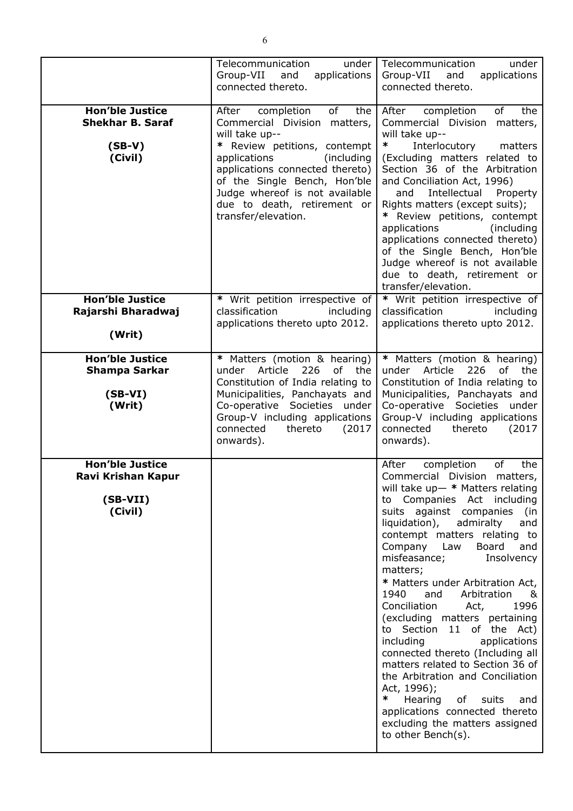|                                                                          | Telecommunication<br>under<br>Group-VII and<br>applications<br>connected thereto.                                                                                                                                                                                                                           | Telecommunication<br>under<br>Group-VII<br>and<br>applications<br>connected thereto.                                                                                                                                                                                                                                                                                                                                                                                                                                                                                                                                                                                                                                                                                                     |
|--------------------------------------------------------------------------|-------------------------------------------------------------------------------------------------------------------------------------------------------------------------------------------------------------------------------------------------------------------------------------------------------------|------------------------------------------------------------------------------------------------------------------------------------------------------------------------------------------------------------------------------------------------------------------------------------------------------------------------------------------------------------------------------------------------------------------------------------------------------------------------------------------------------------------------------------------------------------------------------------------------------------------------------------------------------------------------------------------------------------------------------------------------------------------------------------------|
| <b>Hon'ble Justice</b><br><b>Shekhar B. Saraf</b><br>$(SB-V)$<br>(Civil) | of<br>completion<br>After<br>the<br>Commercial Division matters,<br>will take up--<br>* Review petitions, contempt<br>applications<br>(including<br>applications connected thereto)<br>of the Single Bench, Hon'ble<br>Judge whereof is not available<br>due to death, retirement or<br>transfer/elevation. | completion<br>of<br>the<br>After<br>Commercial Division<br>matters,<br>will take up--<br>∗<br>Interlocutory<br>matters<br>(Excluding matters related to<br>Section 36 of the Arbitration<br>and Conciliation Act, 1996)<br>Intellectual<br>Property<br>and<br>Rights matters (except suits);<br>* Review petitions, contempt<br>applications<br>(including)<br>applications connected thereto)<br>of the Single Bench, Hon'ble<br>Judge whereof is not available<br>due to death, retirement or<br>transfer/elevation.                                                                                                                                                                                                                                                                   |
| <b>Hon'ble Justice</b><br>Rajarshi Bharadwaj<br>(Writ)                   | * Writ petition irrespective of<br>classification<br>including<br>applications thereto upto 2012.                                                                                                                                                                                                           | * Writ petition irrespective of<br>classification<br>including<br>applications thereto upto 2012.                                                                                                                                                                                                                                                                                                                                                                                                                                                                                                                                                                                                                                                                                        |
| <b>Hon'ble Justice</b><br><b>Shampa Sarkar</b><br>$(SB-VI)$<br>(Writ)    | * Matters (motion & hearing)<br>Article<br>226<br>of the<br>under<br>Constitution of India relating to<br>Municipalities, Panchayats and<br>Co-operative Societies under<br>Group-V including applications<br>connected<br>thereto<br>(2017)<br>onwards).                                                   | * Matters (motion & hearing)<br>under Article<br>226<br>of<br>the<br>Constitution of India relating to<br>Municipalities, Panchayats and<br>Co-operative Societies under<br>Group-V including applications<br>connected<br>thereto<br>(2017)<br>onwards).                                                                                                                                                                                                                                                                                                                                                                                                                                                                                                                                |
| <b>Hon'ble Justice</b><br>Ravi Krishan Kapur<br>$(SB-VII)$<br>(Civil)    |                                                                                                                                                                                                                                                                                                             | After<br>completion<br>of<br>the<br>Commercial Division<br>matters,<br>will take $up-*$ Matters relating<br>Companies Act including<br>to<br>suits against companies (in<br>liquidation),<br>admiralty<br>and<br>contempt matters relating to<br>Company Law<br>Board<br>and<br>misfeasance;<br>Insolvency<br>matters;<br>* Matters under Arbitration Act,<br>1940<br>and<br>Arbitration<br>&<br>Conciliation<br>1996<br>Act,<br>(excluding matters pertaining<br>to Section 11 of the Act)<br>including<br>applications<br>connected thereto (Including all<br>matters related to Section 36 of<br>the Arbitration and Conciliation<br>Act, 1996);<br>$\ast$<br>Hearing<br>of<br>suits<br>and<br>applications connected thereto<br>excluding the matters assigned<br>to other Bench(s). |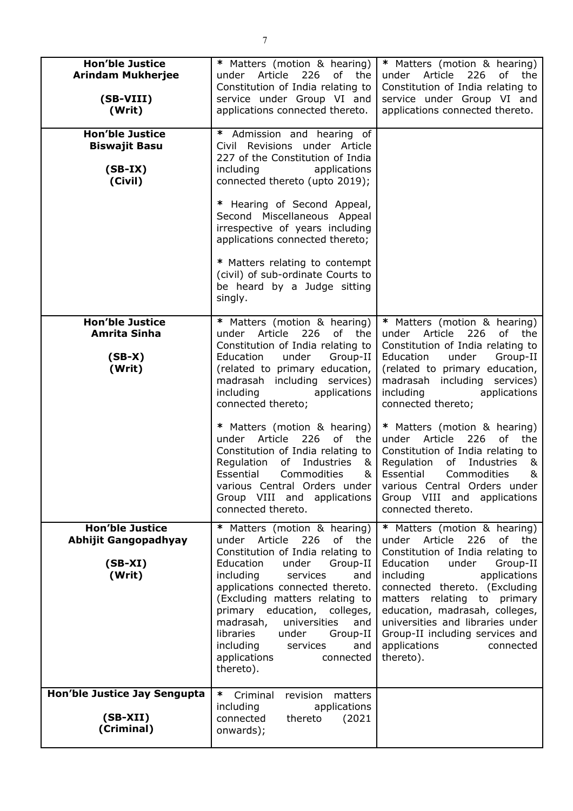| <b>Hon'ble Justice</b><br><b>Arindam Mukherjee</b><br>(SB-VIII)<br>(Writ)    | * Matters (motion & hearing)<br>226<br>under<br>Article<br>of the<br>Constitution of India relating to<br>service under Group VI and<br>applications connected thereto.                                                                                                                                                                                                                                                                                                                                                  | * Matters (motion & hearing)<br>under Article<br>226<br>оf<br>the<br>Constitution of India relating to<br>service under Group VI and<br>applications connected thereto.                                                                                                                                                                                                                                                                                                                                                           |
|------------------------------------------------------------------------------|--------------------------------------------------------------------------------------------------------------------------------------------------------------------------------------------------------------------------------------------------------------------------------------------------------------------------------------------------------------------------------------------------------------------------------------------------------------------------------------------------------------------------|-----------------------------------------------------------------------------------------------------------------------------------------------------------------------------------------------------------------------------------------------------------------------------------------------------------------------------------------------------------------------------------------------------------------------------------------------------------------------------------------------------------------------------------|
| <b>Hon'ble Justice</b><br><b>Biswajit Basu</b><br>$(SB-IX)$<br>(Civil)       | * Admission and hearing of<br>Civil Revisions under Article<br>227 of the Constitution of India<br>including<br>applications<br>connected thereto (upto 2019);<br>* Hearing of Second Appeal,<br>Second Miscellaneous Appeal<br>irrespective of years including<br>applications connected thereto;<br>* Matters relating to contempt<br>(civil) of sub-ordinate Courts to<br>be heard by a Judge sitting<br>singly.                                                                                                      |                                                                                                                                                                                                                                                                                                                                                                                                                                                                                                                                   |
| <b>Hon'ble Justice</b><br>Amrita Sinha<br>$(SB-X)$<br>(Writ)                 | * Matters (motion & hearing)<br>under Article 226<br>of the<br>Constitution of India relating to<br>under<br>Group-II<br>Education<br>(related to primary education,<br>madrasah including services)<br>including<br>applications<br>connected thereto;<br>* Matters (motion & hearing)<br>under Article 226<br>of the<br>Constitution of India relating to<br>Regulation<br>of<br>Industries<br>&<br>Essential<br>Commodities<br>&<br>various Central Orders under<br>Group VIII and applications<br>connected thereto. | * Matters (motion & hearing)<br>226<br>under Article<br>of the<br>Constitution of India relating to<br>under<br>Education<br>Group-II<br>(related to primary education,<br>madrasah including services)<br>including<br>applications<br>connected thereto;<br>* Matters (motion & hearing)<br>under Article<br>226<br>of the<br>Constitution of India relating to<br>Industries<br>Regulation<br>of<br>&<br>Essential<br>Commodities<br>&<br>various Central Orders under<br>Group VIII and<br>applications<br>connected thereto. |
| <b>Hon'ble Justice</b><br><b>Abhijit Gangopadhyay</b><br>$(SB-XI)$<br>(Writ) | * Matters (motion & hearing)<br>Article 226<br>of the<br>under<br>Constitution of India relating to<br>Education<br>under<br>Group-II<br>including<br>services<br>and<br>applications connected thereto.<br>(Excluding matters relating to<br>primary education, colleges,<br>madrasah,<br>universities<br>and<br>libraries<br>under<br>Group-II<br>including<br>services<br>and<br>applications<br>connected<br>thereto).                                                                                               | * Matters (motion & hearing)<br>under Article<br>226<br>of the<br>Constitution of India relating to<br>Education<br>under<br>Group-II<br>including<br>applications<br>connected thereto. (Excluding<br>matters relating to primary<br>education, madrasah, colleges,<br>universities and libraries under<br>Group-II including services and<br>applications<br>connected<br>thereto).                                                                                                                                             |
| Hon'ble Justice Jay Sengupta<br>$(SB-XII)$<br>(Criminal)                     | ∗<br>Criminal<br>revision<br>matters<br>applications<br>including<br>connected<br>thereto<br>(2021)<br>onwards);                                                                                                                                                                                                                                                                                                                                                                                                         |                                                                                                                                                                                                                                                                                                                                                                                                                                                                                                                                   |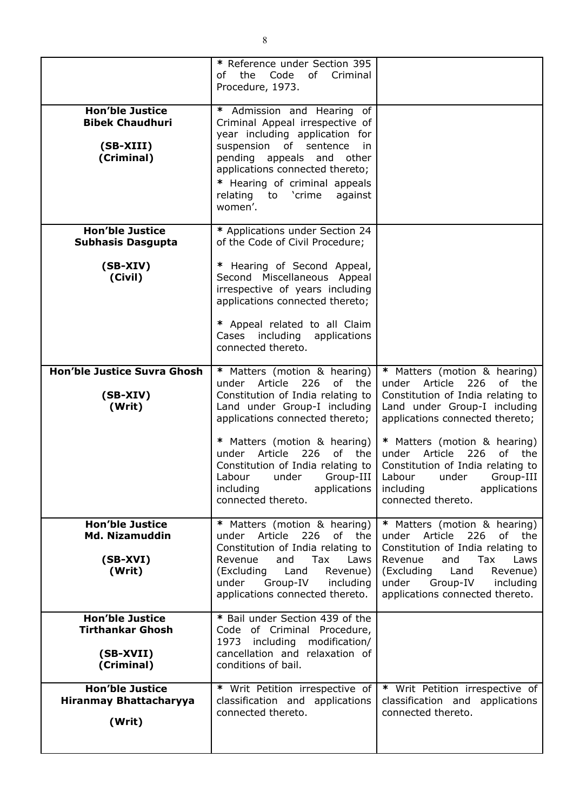|                                                                              | * Reference under Section 395<br>of the Code<br>of<br>Criminal<br>Procedure, 1973.                                                                                                                                                                                              |                                                                                                                                                                                                                                       |
|------------------------------------------------------------------------------|---------------------------------------------------------------------------------------------------------------------------------------------------------------------------------------------------------------------------------------------------------------------------------|---------------------------------------------------------------------------------------------------------------------------------------------------------------------------------------------------------------------------------------|
| <b>Hon'ble Justice</b><br><b>Bibek Chaudhuri</b><br>(SB-XIII)<br>(Criminal)  | Admission and Hearing of<br>*<br>Criminal Appeal irrespective of<br>year including application for<br>suspension of sentence<br>in<br>pending appeals and other<br>applications connected thereto;<br>* Hearing of criminal appeals<br>relating to 'crime<br>against<br>women'. |                                                                                                                                                                                                                                       |
| <b>Hon'ble Justice</b><br><b>Subhasis Dasgupta</b>                           | * Applications under Section 24<br>of the Code of Civil Procedure;                                                                                                                                                                                                              |                                                                                                                                                                                                                                       |
| $(SB-XIV)$<br>(Civil)                                                        | Hearing of Second Appeal,<br>×,<br>Second Miscellaneous Appeal<br>irrespective of years including<br>applications connected thereto;                                                                                                                                            |                                                                                                                                                                                                                                       |
|                                                                              | * Appeal related to all Claim<br>Cases including applications<br>connected thereto.                                                                                                                                                                                             |                                                                                                                                                                                                                                       |
| <b>Hon'ble Justice Suvra Ghosh</b><br>$(SB-XIV)$<br>(Writ)                   | * Matters (motion & hearing)<br>226<br>of<br>under<br>Article<br>the<br>Constitution of India relating to<br>Land under Group-I including<br>applications connected thereto;                                                                                                    | * Matters (motion & hearing)<br>under<br>Article<br>226<br>of<br>the<br>Constitution of India relating to<br>Land under Group-I including<br>applications connected thereto;                                                          |
|                                                                              | * Matters (motion & hearing)<br>226<br>Article<br>of the<br>under<br>Constitution of India relating to<br>Labour<br>under<br>Group-III<br>including<br>applications<br>connected thereto.                                                                                       | * Matters (motion & hearing)<br>Article<br>226<br>of<br>under<br>the<br>Constitution of India relating to<br>Labour<br>under<br>Group-III<br>including<br>applications<br>connected thereto.                                          |
| <b>Hon'ble Justice</b><br><b>Md. Nizamuddin</b><br>$(SB-XVI)$<br>(Writ)      | * Matters (motion & hearing)<br>under Article 226 of the<br>Constitution of India relating to<br>and<br>Tax<br>Revenue<br>Laws<br>(Excluding Land<br>Revenue)<br>Group-IV<br>under<br>including<br>applications connected thereto.                                              | * Matters (motion & hearing)<br>under Article 226<br>of the<br>Constitution of India relating to<br>and<br>Tax<br>Revenue<br>Laws<br>(Excluding Land<br>Revenue)<br>Group-IV<br>including<br>under<br>applications connected thereto. |
| <b>Hon'ble Justice</b><br><b>Tirthankar Ghosh</b><br>(SB-XVII)<br>(Criminal) | * Bail under Section 439 of the<br>Code of Criminal Procedure,<br>1973 including<br>modification/<br>cancellation and relaxation of<br>conditions of bail.                                                                                                                      |                                                                                                                                                                                                                                       |
| <b>Hon'ble Justice</b><br><b>Hiranmay Bhattacharyya</b><br>(Writ)            | * Writ Petition irrespective of<br>classification and applications<br>connected thereto.                                                                                                                                                                                        | * Writ Petition irrespective of<br>classification and applications<br>connected thereto.                                                                                                                                              |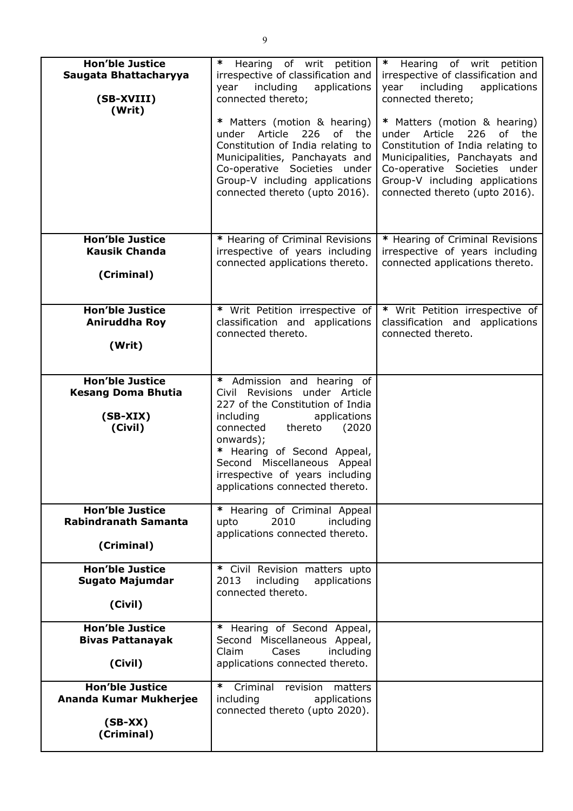| <b>Hon'ble Justice</b><br>Saugata Bhattacharyya<br>(SB-XVIII)<br>(Writ)      | ∗<br>Hearing of writ petition<br>irrespective of classification and<br>including<br>applications<br>year<br>connected thereto;<br>* Matters (motion & hearing)<br>226<br>of the<br>Article<br>under<br>Constitution of India relating to<br>Municipalities, Panchayats and<br>Co-operative Societies under<br>Group-V including applications<br>connected thereto (upto 2016). | $\ast$<br>Hearing of writ petition<br>irrespective of classification and<br>including<br>year<br>applications<br>connected thereto;<br>* Matters (motion & hearing)<br>under Article<br>226<br>of the<br>Constitution of India relating to<br>Municipalities, Panchayats and<br>Co-operative Societies under<br>Group-V including applications<br>connected thereto (upto 2016). |
|------------------------------------------------------------------------------|--------------------------------------------------------------------------------------------------------------------------------------------------------------------------------------------------------------------------------------------------------------------------------------------------------------------------------------------------------------------------------|----------------------------------------------------------------------------------------------------------------------------------------------------------------------------------------------------------------------------------------------------------------------------------------------------------------------------------------------------------------------------------|
| <b>Hon'ble Justice</b><br><b>Kausik Chanda</b><br>(Criminal)                 | * Hearing of Criminal Revisions<br>irrespective of years including<br>connected applications thereto.                                                                                                                                                                                                                                                                          | * Hearing of Criminal Revisions<br>irrespective of years including<br>connected applications thereto.                                                                                                                                                                                                                                                                            |
| <b>Hon'ble Justice</b><br>Aniruddha Roy<br>(Writ)                            | * Writ Petition irrespective of<br>classification and applications<br>connected thereto.                                                                                                                                                                                                                                                                                       | * Writ Petition irrespective of<br>classification and applications<br>connected thereto.                                                                                                                                                                                                                                                                                         |
| <b>Hon'ble Justice</b><br><b>Kesang Doma Bhutia</b><br>$(SB-XIX)$<br>(Civil) | * Admission and hearing of<br>Civil Revisions under Article<br>227 of the Constitution of India<br>including<br>applications<br>connected<br>thereto<br>(2020)<br>onwards);<br>* Hearing of Second Appeal,<br>Second Miscellaneous Appeal<br>irrespective of years including<br>applications connected thereto.                                                                |                                                                                                                                                                                                                                                                                                                                                                                  |
| <b>Hon'ble Justice</b><br><b>Rabindranath Samanta</b><br>(Criminal)          | * Hearing of Criminal Appeal<br>2010<br>including<br>upto<br>applications connected thereto.                                                                                                                                                                                                                                                                                   |                                                                                                                                                                                                                                                                                                                                                                                  |
| <b>Hon'ble Justice</b><br><b>Sugato Majumdar</b><br>(Civil)                  | * Civil Revision matters upto<br>2013<br>including<br>applications<br>connected thereto.                                                                                                                                                                                                                                                                                       |                                                                                                                                                                                                                                                                                                                                                                                  |
| <b>Hon'ble Justice</b><br><b>Bivas Pattanayak</b><br>(Civil)                 | * Hearing of Second Appeal,<br>Second Miscellaneous Appeal,<br>Claim<br>Cases<br>including<br>applications connected thereto.                                                                                                                                                                                                                                                  |                                                                                                                                                                                                                                                                                                                                                                                  |
| <b>Hon'ble Justice</b><br>Ananda Kumar Mukherjee<br>$(SB-XX)$<br>(Criminal)  | ∗<br>Criminal<br>revision<br>matters<br>applications<br>including<br>connected thereto (upto 2020).                                                                                                                                                                                                                                                                            |                                                                                                                                                                                                                                                                                                                                                                                  |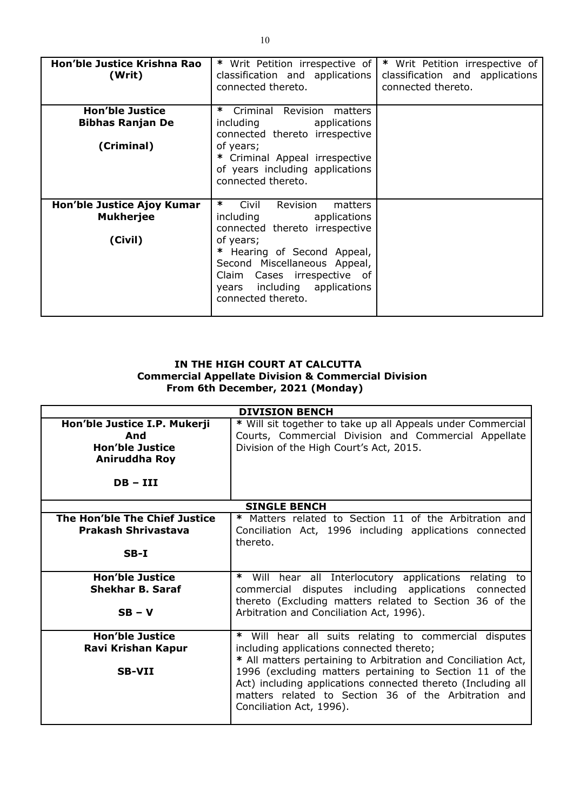| Hon'ble Justice Krishna Rao<br>(Writ)                           | * Writ Petition irrespective of<br>classification and applications<br>connected thereto.                                                                                                                                                                                    | * Writ Petition irrespective of<br>classification and applications<br>connected thereto. |
|-----------------------------------------------------------------|-----------------------------------------------------------------------------------------------------------------------------------------------------------------------------------------------------------------------------------------------------------------------------|------------------------------------------------------------------------------------------|
| <b>Hon'ble Justice</b><br><b>Bibhas Ranjan De</b><br>(Criminal) | ∗<br>Criminal Revision<br>matters<br>applications<br>including<br>connected thereto irrespective<br>of years;<br>Criminal Appeal irrespective<br>of years including applications<br>connected thereto.                                                                      |                                                                                          |
| Hon'ble Justice Ajoy Kumar<br><b>Mukherjee</b><br>(Civil)       | $\ast$<br>Civil<br><b>Revision</b><br>matters<br>applications<br>including<br>connected thereto irrespective<br>of years;<br>Hearing of Second Appeal,<br>Second Miscellaneous Appeal,<br>Claim Cases irrespective of<br>years including applications<br>connected thereto. |                                                                                          |

### **IN THE HIGH COURT AT CALCUTTA Commercial Appellate Division & Commercial Division From 6th December, 2021 (Monday)**

| <b>DIVISION BENCH</b>                   |                                                                                                                                                                                                             |  |
|-----------------------------------------|-------------------------------------------------------------------------------------------------------------------------------------------------------------------------------------------------------------|--|
| Hon'ble Justice I.P. Mukerji<br>And     | * Will sit together to take up all Appeals under Commercial<br>Courts, Commercial Division and Commercial Appellate                                                                                         |  |
| <b>Hon'ble Justice</b><br>Aniruddha Roy | Division of the High Court's Act, 2015.                                                                                                                                                                     |  |
| $DB - III$                              |                                                                                                                                                                                                             |  |
|                                         | <b>SINGLE BENCH</b>                                                                                                                                                                                         |  |
| The Hon'ble The Chief Justice           | * Matters related to Section 11 of the Arbitration and                                                                                                                                                      |  |
| <b>Prakash Shrivastava</b>              | Conciliation Act, 1996 including applications connected<br>thereto.                                                                                                                                         |  |
| $SB-I$                                  |                                                                                                                                                                                                             |  |
| <b>Hon'ble Justice</b>                  | Will hear all Interlocutory applications relating to<br>∗                                                                                                                                                   |  |
| Shekhar B. Saraf                        | commercial disputes including applications connected<br>thereto (Excluding matters related to Section 36 of the                                                                                             |  |
| $SB - V$                                | Arbitration and Conciliation Act, 1996).                                                                                                                                                                    |  |
| <b>Hon'ble Justice</b>                  | * Will hear all suits relating to commercial disputes                                                                                                                                                       |  |
| Ravi Krishan Kapur                      | including applications connected thereto;<br>* All matters pertaining to Arbitration and Conciliation Act,                                                                                                  |  |
| <b>SB-VII</b>                           | 1996 (excluding matters pertaining to Section 11 of the<br>Act) including applications connected thereto (Including all<br>matters related to Section 36 of the Arbitration and<br>Conciliation Act, 1996). |  |